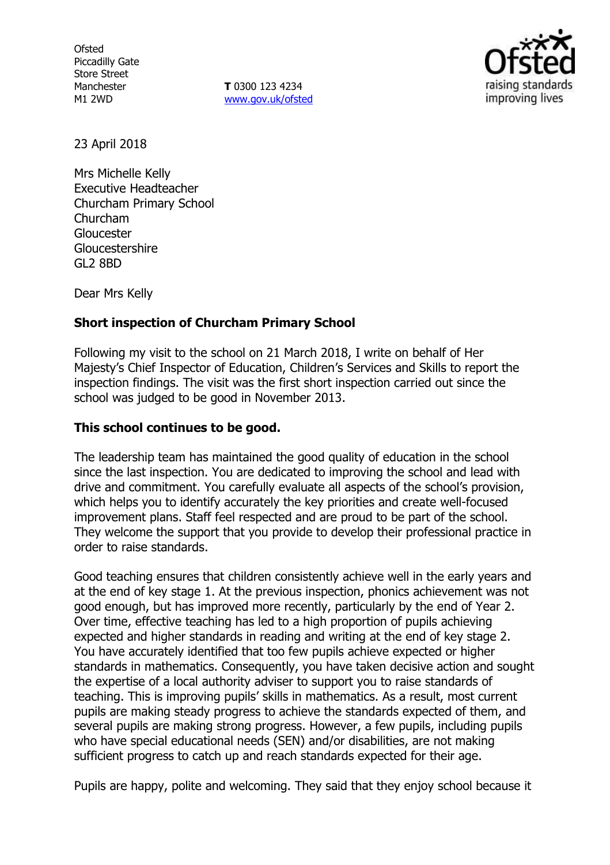**Ofsted** Piccadilly Gate Store Street Manchester M1 2WD

**T** 0300 123 4234 www.gov.uk/ofsted



23 April 2018

Mrs Michelle Kelly Executive Headteacher Churcham Primary School Churcham Gloucester Gloucestershire GL2 8BD

Dear Mrs Kelly

## **Short inspection of Churcham Primary School**

Following my visit to the school on 21 March 2018, I write on behalf of Her Majesty's Chief Inspector of Education, Children's Services and Skills to report the inspection findings. The visit was the first short inspection carried out since the school was judged to be good in November 2013.

## **This school continues to be good.**

The leadership team has maintained the good quality of education in the school since the last inspection. You are dedicated to improving the school and lead with drive and commitment. You carefully evaluate all aspects of the school's provision, which helps you to identify accurately the key priorities and create well-focused improvement plans. Staff feel respected and are proud to be part of the school. They welcome the support that you provide to develop their professional practice in order to raise standards.

Good teaching ensures that children consistently achieve well in the early years and at the end of key stage 1. At the previous inspection, phonics achievement was not good enough, but has improved more recently, particularly by the end of Year 2. Over time, effective teaching has led to a high proportion of pupils achieving expected and higher standards in reading and writing at the end of key stage 2. You have accurately identified that too few pupils achieve expected or higher standards in mathematics. Consequently, you have taken decisive action and sought the expertise of a local authority adviser to support you to raise standards of teaching. This is improving pupils' skills in mathematics. As a result, most current pupils are making steady progress to achieve the standards expected of them, and several pupils are making strong progress. However, a few pupils, including pupils who have special educational needs (SEN) and/or disabilities, are not making sufficient progress to catch up and reach standards expected for their age.

Pupils are happy, polite and welcoming. They said that they enjoy school because it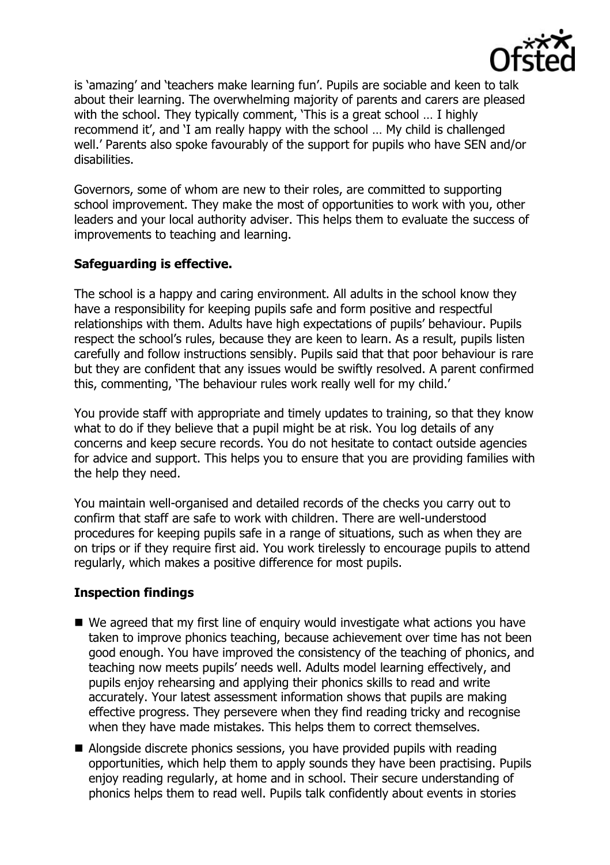

is 'amazing' and 'teachers make learning fun'. Pupils are sociable and keen to talk about their learning. The overwhelming majority of parents and carers are pleased with the school. They typically comment, 'This is a great school … I highly recommend it', and 'I am really happy with the school … My child is challenged well.' Parents also spoke favourably of the support for pupils who have SEN and/or disabilities.

Governors, some of whom are new to their roles, are committed to supporting school improvement. They make the most of opportunities to work with you, other leaders and your local authority adviser. This helps them to evaluate the success of improvements to teaching and learning.

# **Safeguarding is effective.**

The school is a happy and caring environment. All adults in the school know they have a responsibility for keeping pupils safe and form positive and respectful relationships with them. Adults have high expectations of pupils' behaviour. Pupils respect the school's rules, because they are keen to learn. As a result, pupils listen carefully and follow instructions sensibly. Pupils said that that poor behaviour is rare but they are confident that any issues would be swiftly resolved. A parent confirmed this, commenting, 'The behaviour rules work really well for my child.'

You provide staff with appropriate and timely updates to training, so that they know what to do if they believe that a pupil might be at risk. You log details of any concerns and keep secure records. You do not hesitate to contact outside agencies for advice and support. This helps you to ensure that you are providing families with the help they need.

You maintain well-organised and detailed records of the checks you carry out to confirm that staff are safe to work with children. There are well-understood procedures for keeping pupils safe in a range of situations, such as when they are on trips or if they require first aid. You work tirelessly to encourage pupils to attend regularly, which makes a positive difference for most pupils.

# **Inspection findings**

- We agreed that my first line of enquiry would investigate what actions you have taken to improve phonics teaching, because achievement over time has not been good enough. You have improved the consistency of the teaching of phonics, and teaching now meets pupils' needs well. Adults model learning effectively, and pupils enjoy rehearsing and applying their phonics skills to read and write accurately. Your latest assessment information shows that pupils are making effective progress. They persevere when they find reading tricky and recognise when they have made mistakes. This helps them to correct themselves.
- Alongside discrete phonics sessions, you have provided pupils with reading opportunities, which help them to apply sounds they have been practising. Pupils enjoy reading regularly, at home and in school. Their secure understanding of phonics helps them to read well. Pupils talk confidently about events in stories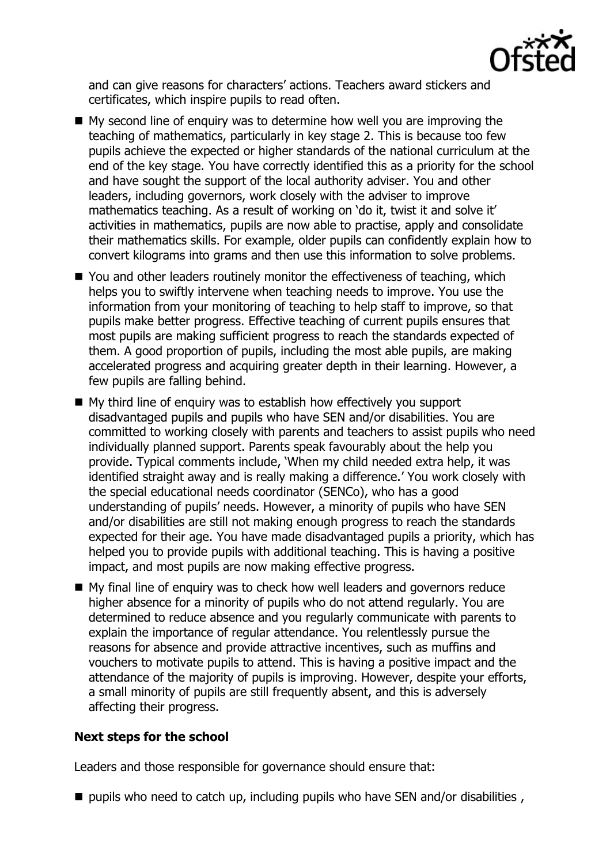

and can give reasons for characters' actions. Teachers award stickers and certificates, which inspire pupils to read often.

- $\blacksquare$  My second line of enquiry was to determine how well you are improving the teaching of mathematics, particularly in key stage 2. This is because too few pupils achieve the expected or higher standards of the national curriculum at the end of the key stage. You have correctly identified this as a priority for the school and have sought the support of the local authority adviser. You and other leaders, including governors, work closely with the adviser to improve mathematics teaching. As a result of working on 'do it, twist it and solve it' activities in mathematics, pupils are now able to practise, apply and consolidate their mathematics skills. For example, older pupils can confidently explain how to convert kilograms into grams and then use this information to solve problems.
- You and other leaders routinely monitor the effectiveness of teaching, which helps you to swiftly intervene when teaching needs to improve. You use the information from your monitoring of teaching to help staff to improve, so that pupils make better progress. Effective teaching of current pupils ensures that most pupils are making sufficient progress to reach the standards expected of them. A good proportion of pupils, including the most able pupils, are making accelerated progress and acquiring greater depth in their learning. However, a few pupils are falling behind.
- My third line of enquiry was to establish how effectively you support disadvantaged pupils and pupils who have SEN and/or disabilities. You are committed to working closely with parents and teachers to assist pupils who need individually planned support. Parents speak favourably about the help you provide. Typical comments include, 'When my child needed extra help, it was identified straight away and is really making a difference.' You work closely with the special educational needs coordinator (SENCo), who has a good understanding of pupils' needs. However, a minority of pupils who have SEN and/or disabilities are still not making enough progress to reach the standards expected for their age. You have made disadvantaged pupils a priority, which has helped you to provide pupils with additional teaching. This is having a positive impact, and most pupils are now making effective progress.
- My final line of enquiry was to check how well leaders and governors reduce higher absence for a minority of pupils who do not attend regularly. You are determined to reduce absence and you regularly communicate with parents to explain the importance of regular attendance. You relentlessly pursue the reasons for absence and provide attractive incentives, such as muffins and vouchers to motivate pupils to attend. This is having a positive impact and the attendance of the majority of pupils is improving. However, despite your efforts, a small minority of pupils are still frequently absent, and this is adversely affecting their progress.

## **Next steps for the school**

Leaders and those responsible for governance should ensure that:

 $\blacksquare$  pupils who need to catch up, including pupils who have SEN and/or disabilities ,